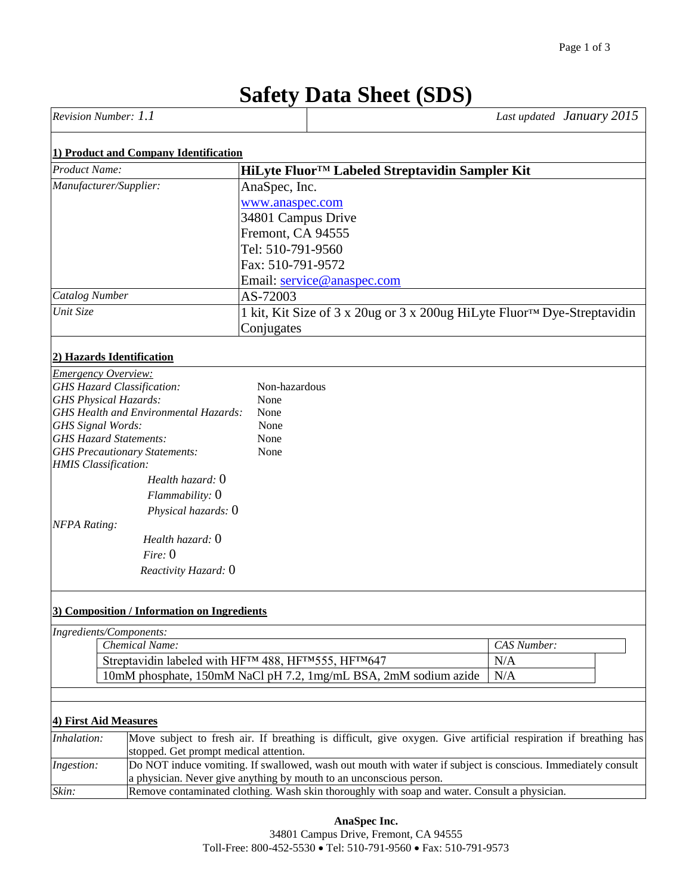## **Safety Data Sheet (SDS)**

*Revision Number: 1.1 Last updated January 2015*

| 1) Product and Company Identification |                                                                         |  |
|---------------------------------------|-------------------------------------------------------------------------|--|
| <i>Product Name:</i>                  | HiLyte Fluor <sup>™</sup> Labeled Streptavidin Sampler Kit              |  |
| Manufacturer/Supplier:                | AnaSpec, Inc.                                                           |  |
|                                       | www.anaspec.com                                                         |  |
|                                       | 34801 Campus Drive                                                      |  |
|                                       | Fremont, CA 94555                                                       |  |
|                                       | Tel: 510-791-9560                                                       |  |
|                                       | Fax: 510-791-9572                                                       |  |
|                                       | Email: service@anaspec.com                                              |  |
| <b>Catalog Number</b>                 | AS-72003                                                                |  |
| Unit Size                             | 1 kit, Kit Size of 3 x 20ug or 3 x 200ug HiLyte Fluor™ Dye-Streptavidin |  |
|                                       | Conjugates                                                              |  |

## **2) Hazards Identification**

| <b>Emergency Overview:</b>                   |               |
|----------------------------------------------|---------------|
| <b>GHS Hazard Classification:</b>            | Non-hazardous |
| <b>GHS Physical Hazards:</b>                 | None          |
| <b>GHS Health and Environmental Hazards:</b> | None          |
| <b>GHS Signal Words:</b>                     | None          |
| <b>GHS Hazard Statements:</b>                | None          |
| <b>GHS Precautionary Statements:</b>         | None          |
| <b>HMIS</b> Classification:                  |               |
| Health hazard: 0                             |               |
| Flammablity: 0                               |               |
| Physical hazards: 0                          |               |
| <b>NFPA</b> Rating:                          |               |
| Health hazard: 0                             |               |
| Fire: 0                                      |               |
| Reactivity Hazard: 0                         |               |

## **3) Composition / Information on Ingredients**

| Ingredients/Components:                                         |                  |  |
|-----------------------------------------------------------------|------------------|--|
| <b>Chemical Name:</b>                                           | CAS Number:      |  |
| Streptavidin labeled with HFTM 488, HFTM555, HFTM647            | N/A              |  |
| 10mM phosphate, 150mM NaCl pH 7.2, 1mg/mL BSA, 2mM sodium azide | $\mathsf{I}$ N/A |  |
|                                                                 |                  |  |

## **4) First Aid Measures**

| Inhalation: | Move subject to fresh air. If breathing is difficult, give oxygen. Give artificial respiration if breathing has |
|-------------|-----------------------------------------------------------------------------------------------------------------|
|             | stopped. Get prompt medical attention.                                                                          |
| Ingestion:  | Do NOT induce vomiting. If swallowed, wash out mouth with water if subject is conscious. Immediately consult    |
|             | a physician. Never give anything by mouth to an unconscious person.                                             |
| Skin:       | Remove contaminated clothing. Wash skin thoroughly with soap and water. Consult a physician.                    |

**AnaSpec Inc.** 34801 Campus Drive, Fremont, CA 94555 Toll-Free: 800-452-5530 Tel: 510-791-9560 Fax: 510-791-9573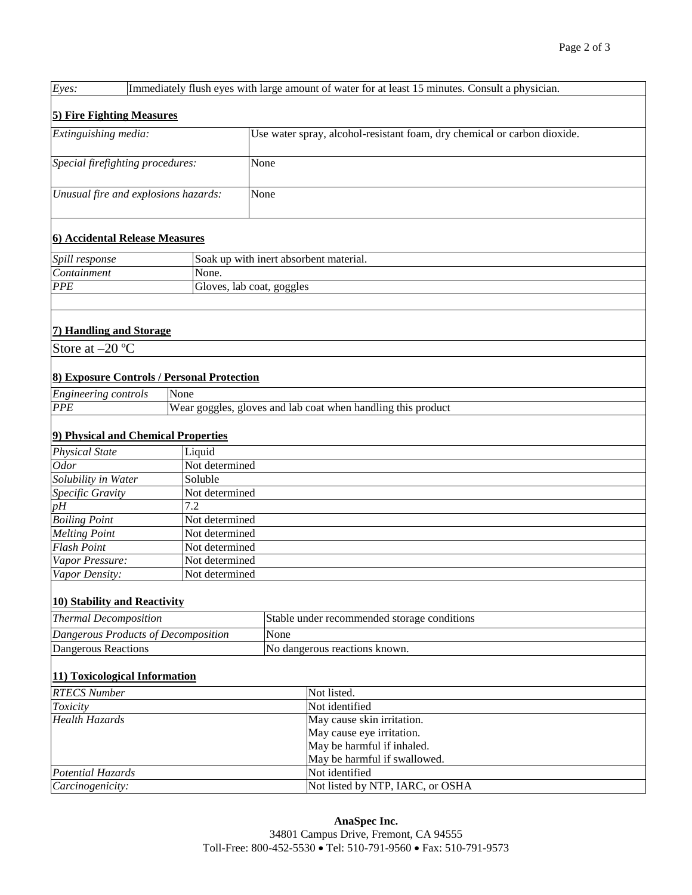| Immediately flush eyes with large amount of water for at least 15 minutes. Consult a physician.<br>Eyes: |                                  |                                                                          |                                                              |  |
|----------------------------------------------------------------------------------------------------------|----------------------------------|--------------------------------------------------------------------------|--------------------------------------------------------------|--|
| <b>5) Fire Fighting Measures</b>                                                                         |                                  |                                                                          |                                                              |  |
| Extinguishing media:                                                                                     |                                  | Use water spray, alcohol-resistant foam, dry chemical or carbon dioxide. |                                                              |  |
| None<br>Special firefighting procedures:                                                                 |                                  |                                                                          |                                                              |  |
| Unusual fire and explosions hazards:                                                                     |                                  | None                                                                     |                                                              |  |
| 6) Accidental Release Measures                                                                           |                                  |                                                                          |                                                              |  |
| Soak up with inert absorbent material.<br>Spill response                                                 |                                  |                                                                          |                                                              |  |
| Containment                                                                                              | None.                            |                                                                          |                                                              |  |
| <b>PPE</b>                                                                                               |                                  | Gloves, lab coat, goggles                                                |                                                              |  |
|                                                                                                          |                                  |                                                                          |                                                              |  |
| <b>7) Handling and Storage</b>                                                                           |                                  |                                                                          |                                                              |  |
| Store at -20 °C                                                                                          |                                  |                                                                          |                                                              |  |
| 8) Exposure Controls / Personal Protection                                                               |                                  |                                                                          |                                                              |  |
| Engineering controls                                                                                     | None                             |                                                                          |                                                              |  |
| PPE                                                                                                      |                                  |                                                                          | Wear goggles, gloves and lab coat when handling this product |  |
| 9) Physical and Chemical Properties                                                                      |                                  |                                                                          |                                                              |  |
| <b>Physical State</b>                                                                                    | Liquid                           |                                                                          |                                                              |  |
| <b>Odor</b>                                                                                              | Not determined                   |                                                                          |                                                              |  |
| Solubility in Water                                                                                      | Soluble                          |                                                                          |                                                              |  |
| Specific Gravity                                                                                         | Not determined                   |                                                                          |                                                              |  |
| pH                                                                                                       | 7.2                              |                                                                          |                                                              |  |
| <b>Boiling Point</b>                                                                                     | Not determined                   |                                                                          |                                                              |  |
| <b>Melting Point</b>                                                                                     | Not determined                   |                                                                          |                                                              |  |
| <b>Flash Point</b>                                                                                       |                                  | Not determined                                                           |                                                              |  |
| Vapor Pressure:<br>Vapor Density:                                                                        | Not determined<br>Not determined |                                                                          |                                                              |  |
|                                                                                                          |                                  |                                                                          |                                                              |  |
| 10) Stability and Reactivity                                                                             |                                  |                                                                          |                                                              |  |
| <b>Thermal Decomposition</b>                                                                             |                                  |                                                                          | Stable under recommended storage conditions                  |  |
|                                                                                                          |                                  |                                                                          |                                                              |  |
| Dangerous Products of Decomposition                                                                      |                                  | None                                                                     | No dangerous reactions known.                                |  |
| Dangerous Reactions                                                                                      |                                  |                                                                          |                                                              |  |
| 11) Toxicological Information                                                                            |                                  |                                                                          |                                                              |  |
| <b>RTECS Number</b>                                                                                      |                                  |                                                                          | Not listed.                                                  |  |
| Toxicity                                                                                                 |                                  |                                                                          | Not identified                                               |  |
| <b>Health Hazards</b>                                                                                    |                                  |                                                                          | May cause skin irritation.                                   |  |
|                                                                                                          |                                  |                                                                          | May cause eye irritation.<br>May be harmful if inhaled.      |  |
|                                                                                                          |                                  |                                                                          | May be harmful if swallowed.                                 |  |
| Potential Hazards                                                                                        |                                  |                                                                          | Not identified                                               |  |
| Carcinogenicity:                                                                                         |                                  |                                                                          | Not listed by NTP, IARC, or OSHA                             |  |
|                                                                                                          |                                  |                                                                          |                                                              |  |